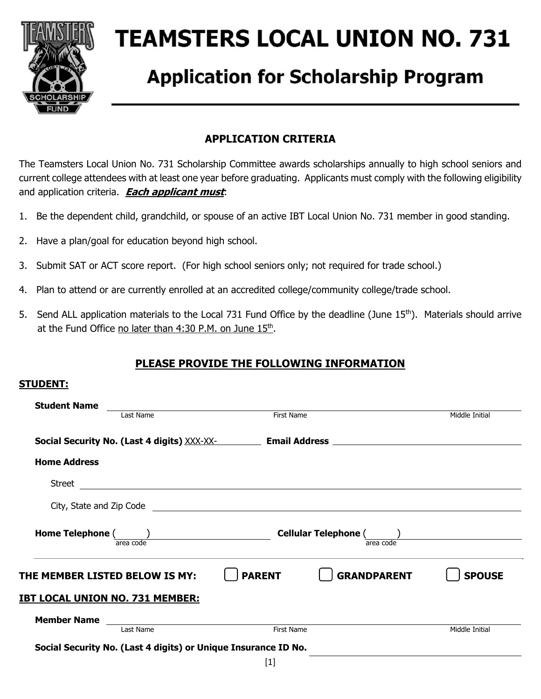

# **TEAMSTERS LOCAL UNION NO. 731**

## **Application for Scholarship Program**

## **APPLICATION CRITERIA**

The Teamsters Local Union No. 731 Scholarship Committee awards scholarships annually to high school seniors and current college attendees with at least one year before graduating. Applicants must comply with the following eligibility and application criteria. **Each applicant must**:

- 1. Be the dependent child, grandchild, or spouse of an active IBT Local Union No. 731 member in good standing.
- 2. Have a plan/goal for education beyond high school.
- 3. Submit SAT or ACT score report. (For high school seniors only; not required for trade school.)
- 4. Plan to attend or are currently enrolled at an accredited college/community college/trade school.
- 5. Send ALL application materials to the Local 731 Fund Office by the deadline (June 15<sup>th</sup>). Materials should arrive at the Fund Office no later than 4:30 P.M. on June 15<sup>th</sup>.

## **PLEASE PROVIDE THE FOLLOWING INFORMATION**

#### **STUDENT:**

| <b>Student Name</b>                    |                                                                                                                                                                                                                                      |                |
|----------------------------------------|--------------------------------------------------------------------------------------------------------------------------------------------------------------------------------------------------------------------------------------|----------------|
| Last Name                              | <b>First Name</b>                                                                                                                                                                                                                    | Middle Initial |
|                                        | Social Security No. (Last 4 digits) XXX-XX- <b>Container and Address</b> Container and Address Container and Address Container and Address Container and Address Container and Address Container and Address Container and Address   |                |
| <b>Home Address</b>                    |                                                                                                                                                                                                                                      |                |
|                                        | Street <u>in the community of the community of the community of the community of the community of the community of the community of the community of the community of the community of the community of the community of the com</u> |                |
|                                        |                                                                                                                                                                                                                                      |                |
| Home Telephone ( )<br>area code        | Cellular Telephone ( and )<br>area code                                                                                                                                                                                              |                |
| THE MEMBER LISTED BELOW IS MY:         | <b>PARENT</b><br><b>GRANDPARENT</b>                                                                                                                                                                                                  | <b>SPOUSE</b>  |
| <u>IBT LOCAL UNION NO. 731 MEMBER:</u> |                                                                                                                                                                                                                                      |                |
|                                        |                                                                                                                                                                                                                                      |                |
| <b>Member Name</b><br>Last Name        | First Name                                                                                                                                                                                                                           | Middle Initial |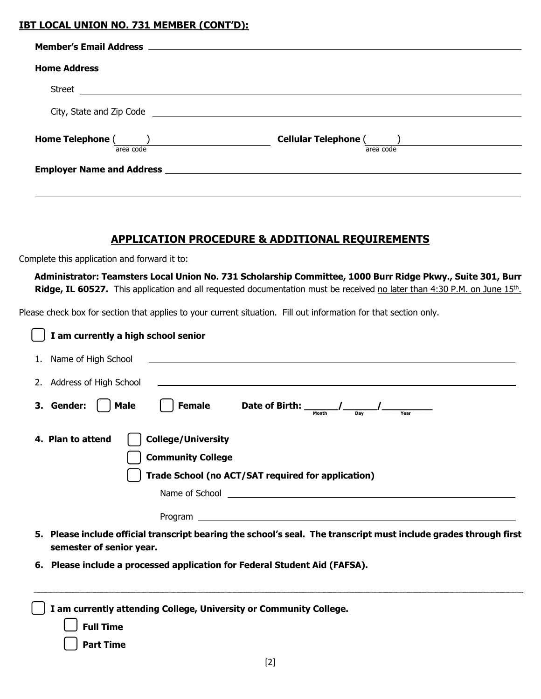### **IBT LOCAL UNION NO. 731 MEMBER (CONT'D):**

| <b>Home Address</b> |                                                                                                                      |
|---------------------|----------------------------------------------------------------------------------------------------------------------|
| Street              |                                                                                                                      |
|                     |                                                                                                                      |
| area code           | <b>Cellular Telephone (</b><br>area code                                                                             |
|                     | <b>Employer Name and Address and Service Service Service Service Service Service Service Service Service Service</b> |
|                     |                                                                                                                      |
|                     |                                                                                                                      |

## **APPLICATION PROCEDURE & ADDITIONAL REQUIREMENTS**

Complete this application and forward it to:

 **Administrator: Teamsters Local Union No. 731 Scholarship Committee, 1000 Burr Ridge Pkwy., Suite 301, Burr**  Ridge, IL 60527. This application and all requested documentation must be received no later than 4:30 P.M. on June 15<sup>th</sup>.

Please check box for section that applies to your current situation. Fill out information for that section only.

| I am currently a high school senior                                                                                                             |
|-------------------------------------------------------------------------------------------------------------------------------------------------|
| 1. Name of High School<br><u> 1980 - Johann Johann Stoff, deutscher Stoff und der Stoff und der Stoff und der Stoff und der Stoff und der S</u> |
| 2. Address of High School                                                                                                                       |
| 3. Gender:<br>Female<br>Male<br>Date of Birth: $\frac{\ }{\ }$                                                                                  |
| <b>College/University</b><br>4. Plan to attend<br><b>Community College</b><br>Trade School (no ACT/SAT required for application)                |
| 5. Please include official transcript bearing the school's seal. The transcript must include grades through first<br>semester of senior year.   |
| 6. Please include a processed application for Federal Student Aid (FAFSA).                                                                      |
| I am currently attending College, University or Community College.<br><b>Full Time</b><br><b>Part Time</b><br><b>LOJ</b>                        |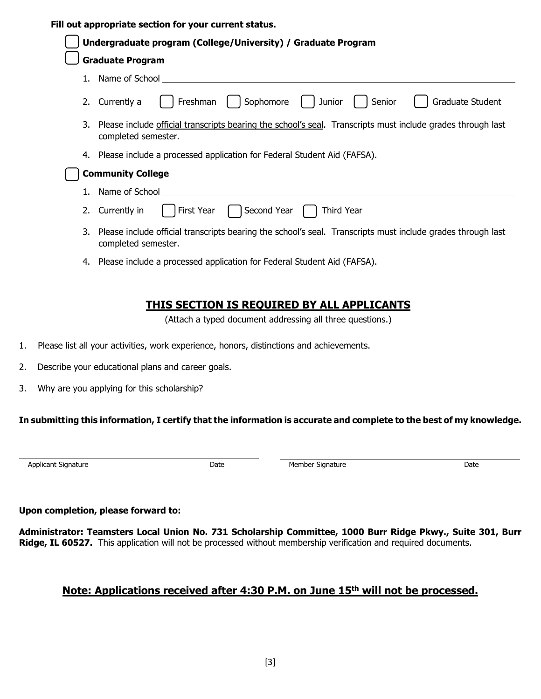#### **Fill out appropriate section for your current status.**

| Undergraduate program (College/University) / Graduate Program                                                                         |  |  |
|---------------------------------------------------------------------------------------------------------------------------------------|--|--|
| <b>Graduate Program</b>                                                                                                               |  |  |
| 1. Name of School                                                                                                                     |  |  |
| Sophomore<br>Freshman<br>Graduate Student<br>Junior<br>2. Currently a<br>Senior                                                       |  |  |
| 3. Please include official transcripts bearing the school's seal. Transcripts must include grades through last<br>completed semester. |  |  |
| 4. Please include a processed application for Federal Student Aid (FAFSA).                                                            |  |  |
| <b>Community College</b>                                                                                                              |  |  |
| 1. Name of School                                                                                                                     |  |  |
| Second Year<br>First Year<br><b>Third Year</b><br>2. Currently in                                                                     |  |  |
| 3. Please include official transcripts bearing the school's seal. Transcripts must include grades through last<br>completed semester. |  |  |
| 4. Please include a processed application for Federal Student Aid (FAFSA).                                                            |  |  |

## **THIS SECTION IS REQUIRED BY ALL APPLICANTS**

(Attach a typed document addressing all three questions.)

- 1. Please list all your activities, work experience, honors, distinctions and achievements.
- 2. Describe your educational plans and career goals.
- 3. Why are you applying for this scholarship?

#### **In submitting this information, I certify that the information is accurate and complete to the best of my knowledge.**

Date Member Signature **Date** Date

#### **Upon completion, please forward to:**

**Administrator: Teamsters Local Union No. 731 Scholarship Committee, 1000 Burr Ridge Pkwy., Suite 301, Burr Ridge, IL 60527.** This application will not be processed without membership verification and required documents.

### **Note: Applications received after 4:30 P.M. on June 15th will not be processed.**